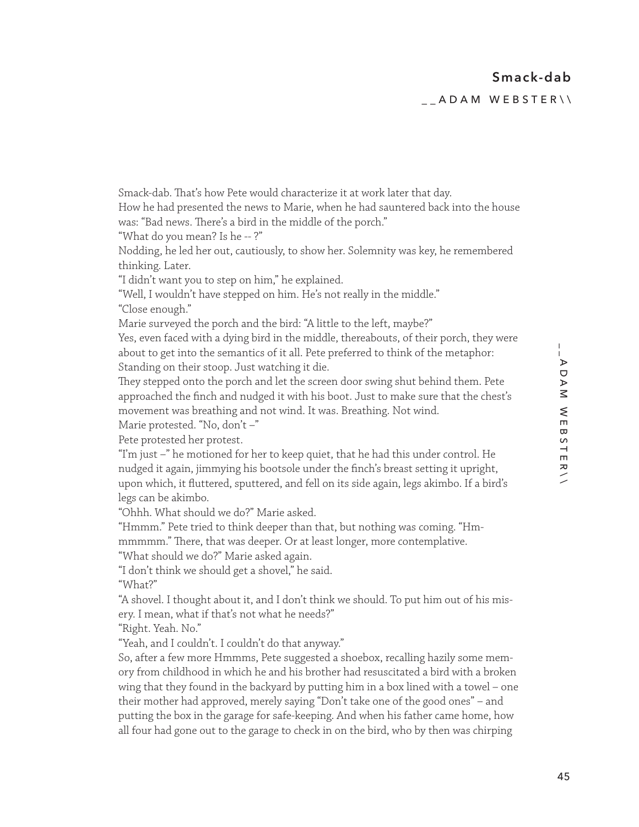\_\_ADAM WEBSTER\\

Smack-dab. That's how Pete would characterize it at work later that day. How he had presented the news to Marie, when he had sauntered back into the house was: "Bad news. There's a bird in the middle of the porch." "What do you mean? Is he -- ?" Nodding, he led her out, cautiously, to show her. Solemnity was key, he remembered "I didn't want you to step on him," he explained. "Well, I wouldn't have stepped on him. He's not really in the middle." Marie surveyed the porch and the bird: "A little to the left, maybe?" Yes, even faced with a dying bird in the middle, thereabouts, of their porch, they were about to get into the semantics of it all. Pete preferred to think of the metaphor: Standing on their stoop. Just watching it die. They stepped onto the porch and let the screen door swing shut behind them. Pete

approached the finch and nudged it with his boot. Just to make sure that the chest's movement was breathing and not wind. It was. Breathing. Not wind. Marie protested. "No, don't –"

Pete protested her protest.

thinking. Later.

"Close enough."

"I'm just –" he motioned for her to keep quiet, that he had this under control. He nudged it again, jimmying his bootsole under the finch's breast setting it upright, upon which, it fluttered, sputtered, and fell on its side again, legs akimbo. If a bird's legs can be akimbo.

"Ohhh. What should we do?" Marie asked.

"Hmmm." Pete tried to think deeper than that, but nothing was coming. "Hmmmmmm." There, that was deeper. Or at least longer, more contemplative.

"What should we do?" Marie asked again.

"I don't think we should get a shovel," he said.

"What?"

"A shovel. I thought about it, and I don't think we should. To put him out of his misery. I mean, what if that's not what he needs?"

"Right. Yeah. No."

"Yeah, and I couldn't. I couldn't do that anyway."

So, after a few more Hmmms, Pete suggested a shoebox, recalling hazily some memory from childhood in which he and his brother had resuscitated a bird with a broken wing that they found in the backyard by putting him in a box lined with a towel – one their mother had approved, merely saying "Don't take one of the good ones" – and putting the box in the garage for safe-keeping. And when his father came home, how all four had gone out to the garage to check in on the bird, who by then was chirping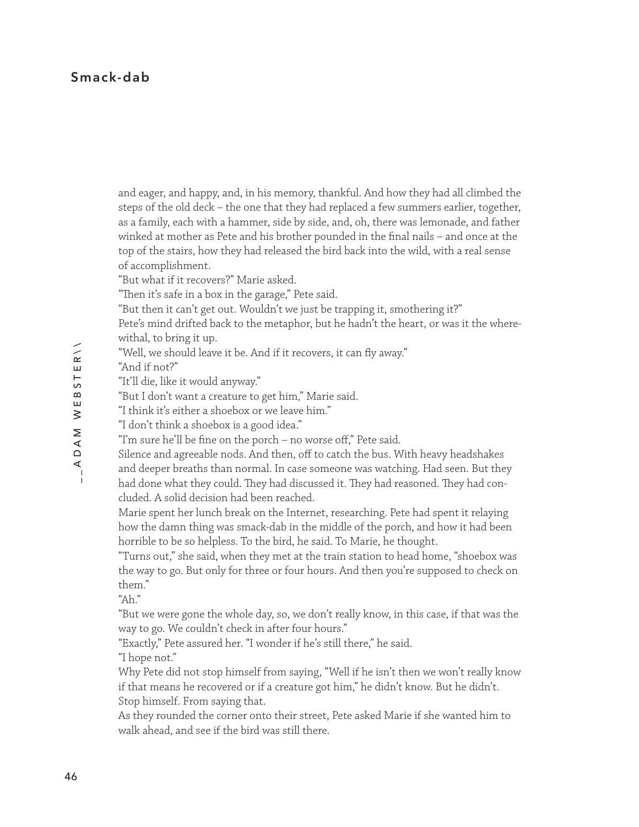## **Smack-dab**

and eager, and happy, and, in his memory, thankful. And how they had all climbed the steps of the old deck – the one that they had replaced a few summers earlier, together, as a family, each with a hammer, side by side, and, oh, there was lemonade, and father winked at mother as Pete and his brother pounded in the final nails – and once at the top of the stairs, how they had released the bird back into the wild, with a real sense of accomplishment.

"But what if it recovers?" Marie asked.

"Then it's safe in a box in the garage," Pete said.

"But then it can't get out. Wouldn't we just be trapping it, smothering it?"

Pete's mind drifted back to the metaphor, but he hadn't the heart, or was it the wherewithal, to bring it up.

"Well, we should leave it be. And if it recovers, it can fly away."

"And if not?"

"It'll die, like it would anyway."

"But I don't want a creature to get him," Marie said.

"I think it's either a shoebox or we leave him."

"I don't think a shoebox is a good idea."

"I'm sure he'll be fine on the porch – no worse off," Pete said.

Silence and agreeable nods. And then, off to catch the bus. With heavy headshakes

and deeper breaths than normal. In case someone was watching. Had seen. But they had done what they could. They had discussed it. They had reasoned. They had concluded. A solid decision had been reached.

Marie spent her lunch break on the Internet, researching. Pete had spent it relaying how the damn thing was smack-dab in the middle of the porch, and how it had been horrible to be so helpless. To the bird, he said. To Marie, he thought.

"Turns out," she said, when they met at the train station to head home, "shoebox was the way to go. But only for three or four hours. And then you're supposed to check on them."

" $Ah$ "

"But we were gone the whole day, so, we don't really know, in this case, if that was the way to go. We couldn't check in after four hours."

"Exactly," Pete assured her. "I wonder if he's still there," he said. "I hope not."

Why Pete did not stop himself from saying, "Well if he isn't then we won't really know if that means he recovered or if a creature got him," he didn't know. But he didn't. Stop himself. From saying that.

As they rounded the corner onto their street, Pete asked Marie if she wanted him to walk ahead, and see if the bird was still there.